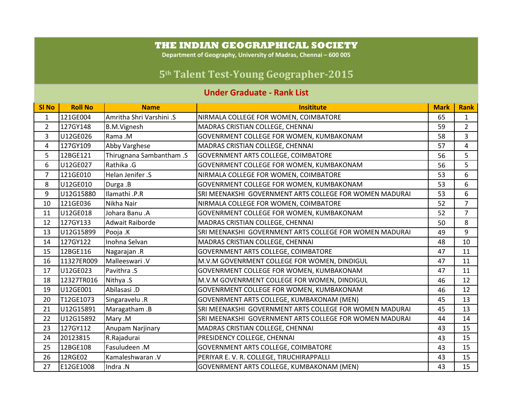## **THE INDIAN GEOGRAPHICAL SOCIETY**

**Department of Geography, University of Madras, Chennai – 600 005**

## **5th Talent TestYoung Geographer2015**

## **Under Graduate - Rank List**

| <b>SI No</b>   | <b>Roll No</b> | <b>Name</b>              | <b>Insititute</b>                                       | <b>Mark</b> | <b>Rank</b>    |
|----------------|----------------|--------------------------|---------------------------------------------------------|-------------|----------------|
| $\mathbf{1}$   | 121GE004       | Amritha Shri Varshini .S | NIRMALA COLLEGE FOR WOMEN, COIMBATORE                   | 65          | $\mathbf{1}$   |
| $\overline{2}$ | 127GY148       | <b>B.M.Vignesh</b>       | MADRAS CRISTIAN COLLEGE, CHENNAI                        | 59          | $\overline{2}$ |
| 3              | U12GE026       | Rama .M                  | GOVENRMENT COLLEGE FOR WOMEN, KUMBAKONAM                | 58          | 3              |
| 4              | 127GY109       | <b>Abby Varghese</b>     | MADRAS CRISTIAN COLLEGE, CHENNAI                        | 57          | 4              |
| 5              | 12BGE121       | Thirugnana Sambantham .S | GOVERNMENT ARTS COLLEGE, COIMBATORE                     | 56          | 5              |
| 6              | U12GE027       | Rathika .G               | GOVENRMENT COLLEGE FOR WOMEN, KUMBAKONAM                | 56          | 5              |
| $\overline{7}$ | 121GE010       | Helan Jenifer .S         | NIRMALA COLLEGE FOR WOMEN, COIMBATORE                   | 53          | 6              |
| 8              | U12GE010       | Durga .B                 | GOVENRMENT COLLEGE FOR WOMEN, KUMBAKONAM                | 53          | 6              |
| 9              | U12G15880      | Ilamathi .P.R            | SRI MEENAKSHI GOVERNMENT ARTS COLLEGE FOR WOMEN MADURAI | 53          | 6              |
| 10             | 121GE036       | Nikha Nair               | NIRMALA COLLEGE FOR WOMEN, COIMBATORE                   | 52          | $\overline{7}$ |
| 11             | U12GE018       | Johara Banu .A           | GOVENRMENT COLLEGE FOR WOMEN, KUMBAKONAM                | 52          | $\overline{7}$ |
| 12             | 127GY133       | Adwait Raiborde          | MADRAS CRISTIAN COLLEGE, CHENNAI                        | 50          | 8              |
| 13             | U12G15899      | Pooja .K                 | SRI MEENAKSHI GOVERNMENT ARTS COLLEGE FOR WOMEN MADURAI | 49          | 9              |
| 14             | 127GY122       | Inohna Selvan            | MADRAS CRISTIAN COLLEGE, CHENNAI                        | 48          | 10             |
| 15             | 12BGE116       | Nagarajan .R             | GOVERNMENT ARTS COLLEGE, COIMBATORE                     | 47          | 11             |
| 16             | 11327ER009     | Malleeswari .V           | M.V.M GOVENRMENT COLLEGE FOR WOMEN, DINDIGUL            | 47          | 11             |
| 17             | U12GE023       | Pavithra .S              | GOVENRMENT COLLEGE FOR WOMEN, KUMBAKONAM                | 47          | 11             |
| 18             | 12327TR016     | Nithya .S                | M.V.M GOVENRMENT COLLEGE FOR WOMEN, DINDIGUL            | 46          | 12             |
| 19             | U12GE001       | Abilasasi.D              | GOVENRMENT COLLEGE FOR WOMEN, KUMBAKONAM                | 46          | 12             |
| 20             | T12GE1073      | Singaravelu .R           | GOVENRMENT ARTS COLLEGE, KUMBAKONAM (MEN)               | 45          | 13             |
| 21             | U12G15891      | Maragatham.B             | SRI MEENAKSHI GOVERNMENT ARTS COLLEGE FOR WOMEN MADURAI | 45          | 13             |
| 22             | U12G15892      | Mary .M                  | SRI MEENAKSHI GOVERNMENT ARTS COLLEGE FOR WOMEN MADURAI | 44          | 14             |
| 23             | 127GY112       | Anupam Narjinary         | MADRAS CRISTIAN COLLEGE, CHENNAI                        | 43          | 15             |
| 24             | 20123815       | R.Rajadurai              | PRESIDENCY COLLEGE, CHENNAI                             | 43          | 15             |
| 25             | 12BGE108       | Fasuludeen .M            | GOVERNMENT ARTS COLLEGE, COIMBATORE                     | 43          | 15             |
| 26             | 12RGE02        | Kamaleshwaran .V         | PERIYAR E. V. R. COLLEGE, TIRUCHIRAPPALLI               | 43          | 15             |
| 27             | E12GE1008      | Indra .N                 | GOVENRMENT ARTS COLLEGE, KUMBAKONAM (MEN)               | 43          | 15             |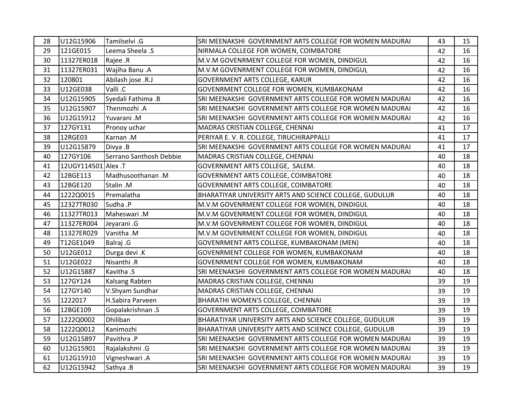| 28 | U12G15906           | Tamilselvi .G           | SRI MEENAKSHI GOVERNMENT ARTS COLLEGE FOR WOMEN MADURAI | 43 | 15 |
|----|---------------------|-------------------------|---------------------------------------------------------|----|----|
| 29 | 121GE015            | Leema Sheela .S         | NIRMALA COLLEGE FOR WOMEN, COIMBATORE                   | 42 | 16 |
| 30 | 11327ER018          | Rajee .R                | M.V.M GOVENRMENT COLLEGE FOR WOMEN, DINDIGUL            | 42 | 16 |
| 31 | 11327ER031          | Wajiha Banu .A          | M.V.M GOVENRMENT COLLEGE FOR WOMEN, DINDIGUL            | 42 | 16 |
| 32 | 120801              | Abilash jose .R.J       | <b>GOVERNMENT ARTS COLLEGE, KARUR</b>                   | 42 | 16 |
| 33 | U12GE038            | Valli .C                | GOVENRMENT COLLEGE FOR WOMEN, KUMBAKONAM                | 42 | 16 |
| 34 | U12G15905           | Syedali Fathima .B      | SRI MEENAKSHI GOVERNMENT ARTS COLLEGE FOR WOMEN MADURAI | 42 | 16 |
| 35 | U12G15907           | Thenmozhi .A            | SRI MEENAKSHI GOVERNMENT ARTS COLLEGE FOR WOMEN MADURAI | 42 | 16 |
| 36 | U12G15912           | Yuvarani.M              | SRI MEENAKSHI GOVERNMENT ARTS COLLEGE FOR WOMEN MADURAI | 42 | 16 |
| 37 | 127GY131            | Pronoy uchar            | MADRAS CRISTIAN COLLEGE, CHENNAI                        | 41 | 17 |
| 38 | 12RGE03             | Karnan.M                | PERIYAR E. V. R. COLLEGE, TIRUCHIRAPPALLI               | 41 | 17 |
| 39 | U12G15879           | Divya .B                | SRI MEENAKSHI GOVERNMENT ARTS COLLEGE FOR WOMEN MADURAI | 41 | 17 |
| 40 | 127GY106            | Serrano Santhosh Debbie | MADRAS CRISTIAN COLLEGE, CHENNAI                        | 40 | 18 |
| 41 | 12UGY114501 Alex .T |                         | GOVERNMENT ARTS COLLEGE, SALEM.                         | 40 | 18 |
| 42 | 12BGE113            | Madhusoothanan.M        | GOVERNMENT ARTS COLLEGE, COIMBATORE                     | 40 | 18 |
| 43 | 12BGE120            | Stalin .M               | GOVERNMENT ARTS COLLEGE, COIMBATORE                     | 40 | 18 |
| 44 | 1222Q0015           | Premalatha              | BHARATIYAR UNIVERSITY ARTS AND SCIENCE COLLEGE, GUDULUR | 40 | 18 |
| 45 | 12327TR030          | Sudha .P                | M.V.M GOVENRMENT COLLEGE FOR WOMEN, DINDIGUL            | 40 | 18 |
| 46 | 11327TR013          | Maheswari .M            | M.V.M GOVENRMENT COLLEGE FOR WOMEN, DINDIGUL            | 40 | 18 |
| 47 | 11327ER004          | Jeyarani.G              | M.V.M GOVENRMENT COLLEGE FOR WOMEN, DINDIGUL            | 40 | 18 |
| 48 | 11327ER029          | Vanitha .M              | M.V.M GOVENRMENT COLLEGE FOR WOMEN, DINDIGUL            | 40 | 18 |
| 49 | T12GE1049           | Balraj .G               | GOVENRMENT ARTS COLLEGE, KUMBAKONAM (MEN)               | 40 | 18 |
| 50 | U12GE012            | Durga devi .K           | GOVENRMENT COLLEGE FOR WOMEN, KUMBAKONAM                | 40 | 18 |
| 51 | U12GE022            | Nisanthi .R             | GOVENRMENT COLLEGE FOR WOMEN, KUMBAKONAM                | 40 | 18 |
| 52 | U12G15887           | Kavitha .S              | SRI MEENAKSHI GOVERNMENT ARTS COLLEGE FOR WOMEN MADURAI | 40 | 18 |
| 53 | 127GY124            | Kalsang Rabten          | MADRAS CRISTIAN COLLEGE, CHENNAI                        | 39 | 19 |
| 54 | 127GY140            | V.Shyam Sundhar         | MADRAS CRISTIAN COLLEGE, CHENNAI                        | 39 | 19 |
| 55 | 1222017             | H.Sabira Parveen        | BHARATHI WOMEN'S COLLEGE, CHENNAI                       | 39 | 19 |
| 56 | 12BGE109            | Gopalakrishnan.S        | GOVERNMENT ARTS COLLEGE, COIMBATORE                     | 39 | 19 |
| 57 | 1222Q0002           | Dhiliban                | BHARATIYAR UNIVERSITY ARTS AND SCIENCE COLLEGE, GUDULUR | 39 | 19 |
| 58 | 1222Q0012           | Kanimozhi               | BHARATIYAR UNIVERSITY ARTS AND SCIENCE COLLEGE, GUDULUR | 39 | 19 |
| 59 | U12G15897           | Pavithra .P             | SRI MEENAKSHI GOVERNMENT ARTS COLLEGE FOR WOMEN MADURAI | 39 | 19 |
| 60 | U12G15901           | Rajalakshmi .G          | SRI MEENAKSHI GOVERNMENT ARTS COLLEGE FOR WOMEN MADURAI | 39 | 19 |
| 61 | U12G15910           | Vigneshwari .A          | SRI MEENAKSHI GOVERNMENT ARTS COLLEGE FOR WOMEN MADURAI | 39 | 19 |
| 62 | U12G15942           | Sathya .B               | SRI MEENAKSHI GOVERNMENT ARTS COLLEGE FOR WOMEN MADURAI | 39 | 19 |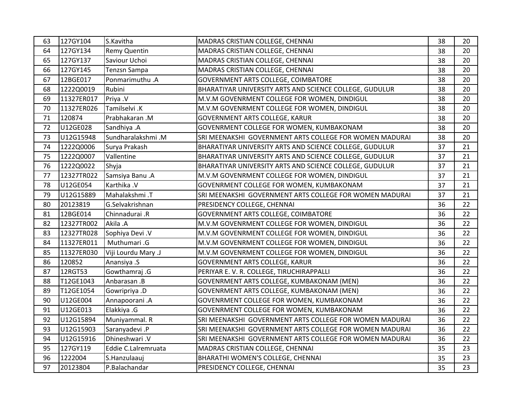| 63 | 127GY104   | S.Kavitha           | MADRAS CRISTIAN COLLEGE, CHENNAI                        | 38 | 20 |
|----|------------|---------------------|---------------------------------------------------------|----|----|
| 64 | 127GY134   | Remy Quentin        | MADRAS CRISTIAN COLLEGE, CHENNAI                        | 38 | 20 |
| 65 | 127GY137   | Saviour Uchoi       | MADRAS CRISTIAN COLLEGE, CHENNAI                        | 38 | 20 |
| 66 | 127GY145   | <b>Tenzsn Sampa</b> | MADRAS CRISTIAN COLLEGE, CHENNAI                        | 38 | 20 |
| 67 | 12BGE017   | Ponmarimuthu .A     | GOVERNMENT ARTS COLLEGE, COIMBATORE                     | 38 | 20 |
| 68 | 1222Q0019  | Rubini              | BHARATIYAR UNIVERSITY ARTS AND SCIENCE COLLEGE, GUDULUR | 38 | 20 |
| 69 | 11327ER017 | Priya .V            | M.V.M GOVENRMENT COLLEGE FOR WOMEN, DINDIGUL            | 38 | 20 |
| 70 | 11327ER026 | Tamilselvi .K       | M.V.M GOVENRMENT COLLEGE FOR WOMEN, DINDIGUL            | 38 | 20 |
| 71 | 120874     | Prabhakaran .M      | GOVERNMENT ARTS COLLEGE, KARUR                          | 38 | 20 |
| 72 | U12GE028   | Sandhiya .A         | GOVENRMENT COLLEGE FOR WOMEN, KUMBAKONAM                | 38 | 20 |
| 73 | U12G15948  | Sundharalakshmi .M  | SRI MEENAKSHI GOVERNMENT ARTS COLLEGE FOR WOMEN MADURAI | 38 | 20 |
| 74 | 1222Q0006  | Surya Prakash       | BHARATIYAR UNIVERSITY ARTS AND SCIENCE COLLEGE, GUDULUR | 37 | 21 |
| 75 | 1222Q0007  | Vallentine          | BHARATIYAR UNIVERSITY ARTS AND SCIENCE COLLEGE, GUDULUR | 37 | 21 |
| 76 | 1222Q0022  | Shyja               | BHARATIYAR UNIVERSITY ARTS AND SCIENCE COLLEGE, GUDULUR | 37 | 21 |
| 77 | 12327TR022 | Samsiya Banu .A     | M.V.M GOVENRMENT COLLEGE FOR WOMEN, DINDIGUL            | 37 | 21 |
| 78 | U12GE054   | Karthika .V         | GOVENRMENT COLLEGE FOR WOMEN, KUMBAKONAM                | 37 | 21 |
| 79 | U12G15889  | Mahalakshmi .T      | SRI MEENAKSHI GOVERNMENT ARTS COLLEGE FOR WOMEN MADURAI | 37 | 21 |
| 80 | 20123819   | G.Selvakrishnan     | PRESIDENCY COLLEGE, CHENNAI                             | 36 | 22 |
| 81 | 12BGE014   | Chinnadurai .R      | GOVERNMENT ARTS COLLEGE, COIMBATORE                     | 36 | 22 |
| 82 | 12327TR002 | Akila .A            | M.V.M GOVENRMENT COLLEGE FOR WOMEN, DINDIGUL            | 36 | 22 |
| 83 | 12327TR028 | Sophiya Devi .V     | M.V.M GOVENRMENT COLLEGE FOR WOMEN, DINDIGUL            | 36 | 22 |
| 84 | 11327ER011 | Muthumari .G        | M.V.M GOVENRMENT COLLEGE FOR WOMEN, DINDIGUL            | 36 | 22 |
| 85 | 11327ER030 | Viji Lourdu Mary .J | M.V.M GOVENRMENT COLLEGE FOR WOMEN, DINDIGUL            | 36 | 22 |
| 86 | 120852     | Anansiya .S         | GOVERNMENT ARTS COLLEGE, KARUR                          | 36 | 22 |
| 87 | 12RGT53    | Gowthamraj .G       | PERIYAR E. V. R. COLLEGE, TIRUCHIRAPPALLI               | 36 | 22 |
| 88 | T12GE1043  | Anbarasan .B        | GOVENRMENT ARTS COLLEGE, KUMBAKONAM (MEN)               | 36 | 22 |
| 89 | T12GE1054  | Gowripriya .D       | GOVENRMENT ARTS COLLEGE, KUMBAKONAM (MEN)               | 36 | 22 |
| 90 | U12GE004   | Annapoorani .A      | GOVENRMENT COLLEGE FOR WOMEN, KUMBAKONAM                | 36 | 22 |
| 91 | U12GE013   | Elakkiya .G         | GOVENRMENT COLLEGE FOR WOMEN, KUMBAKONAM                | 36 | 22 |
| 92 | U12G15894  | Muniyammal. R       | SRI MEENAKSHI GOVERNMENT ARTS COLLEGE FOR WOMEN MADURAI | 36 | 22 |
| 93 | U12G15903  | Saranyadevi .P      | SRI MEENAKSHI GOVERNMENT ARTS COLLEGE FOR WOMEN MADURAI | 36 | 22 |
| 94 | U12G15916  | Dhineshwari .V      | SRI MEENAKSHI GOVERNMENT ARTS COLLEGE FOR WOMEN MADURAI | 36 | 22 |
| 95 | 127GY119   | Eddie C.Lalremruata | MADRAS CRISTIAN COLLEGE, CHENNAI                        | 35 | 23 |
| 96 | 1222004    | S.Hanzulaauj        | BHARATHI WOMEN'S COLLEGE, CHENNAI                       | 35 | 23 |
| 97 | 20123804   | P.Balachandar       | PRESIDENCY COLLEGE, CHENNAI                             | 35 | 23 |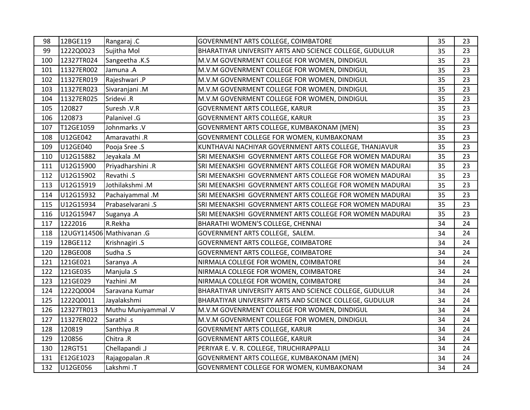| 98  | 12BGE119   | Rangaraj .C               | GOVERNMENT ARTS COLLEGE, COIMBATORE                     | 35 | 23 |
|-----|------------|---------------------------|---------------------------------------------------------|----|----|
| 99  | 1222Q0023  | Sujitha Mol               | BHARATIYAR UNIVERSITY ARTS AND SCIENCE COLLEGE, GUDULUR | 35 | 23 |
| 100 | 12327TR024 | Sangeetha .K.S            | M.V.M GOVENRMENT COLLEGE FOR WOMEN, DINDIGUL            | 35 | 23 |
| 101 | 11327ER002 | Jamuna .A                 | M.V.M GOVENRMENT COLLEGE FOR WOMEN, DINDIGUL            | 35 | 23 |
| 102 | 11327ER019 | Rajeshwari .P             | M.V.M GOVENRMENT COLLEGE FOR WOMEN, DINDIGUL            | 35 | 23 |
| 103 | 11327ER023 | Sivaranjani .M            | M.V.M GOVENRMENT COLLEGE FOR WOMEN, DINDIGUL            | 35 | 23 |
| 104 | 11327ER025 | Sridevi .R                | M.V.M GOVENRMENT COLLEGE FOR WOMEN, DINDIGUL            | 35 | 23 |
| 105 | 120827     | Suresh .V.R               | <b>GOVERNMENT ARTS COLLEGE, KARUR</b>                   | 35 | 23 |
| 106 | 120873     | Palanivel .G              | GOVERNMENT ARTS COLLEGE, KARUR                          | 35 | 23 |
| 107 | T12GE1059  | Johnmarks .V              | GOVENRMENT ARTS COLLEGE, KUMBAKONAM (MEN)               | 35 | 23 |
| 108 | U12GE042   | Amaravathi .R             | GOVENRMENT COLLEGE FOR WOMEN, KUMBAKONAM                | 35 | 23 |
| 109 | U12GE040   | Pooja Sree .S             | KUNTHAVAI NACHIYAR GOVERNMENT ARTS COLLEGE, THANJAVUR   | 35 | 23 |
| 110 | U12G15882  | Jeyakala .M               | SRI MEENAKSHI GOVERNMENT ARTS COLLEGE FOR WOMEN MADURAI | 35 | 23 |
| 111 | U12G15900  | Priyadharshini .R         | SRI MEENAKSHI GOVERNMENT ARTS COLLEGE FOR WOMEN MADURAI | 35 | 23 |
| 112 | U12G15902  | Revathi .S                | SRI MEENAKSHI GOVERNMENT ARTS COLLEGE FOR WOMEN MADURAI | 35 | 23 |
| 113 | U12G15919  | Jothilakshmi.M            | SRI MEENAKSHI GOVERNMENT ARTS COLLEGE FOR WOMEN MADURAI | 35 | 23 |
| 114 | U12G15932  | Pachaiyammal .M           | SRI MEENAKSHI GOVERNMENT ARTS COLLEGE FOR WOMEN MADURAI | 35 | 23 |
| 115 | U12G15934  | Prabaselvarani .S         | SRI MEENAKSHI GOVERNMENT ARTS COLLEGE FOR WOMEN MADURAI | 35 | 23 |
| 116 | U12G15947  | Suganya .A                | SRI MEENAKSHI GOVERNMENT ARTS COLLEGE FOR WOMEN MADURAI | 35 | 23 |
| 117 | 1222016    | R.Rekha                   | BHARATHI WOMEN'S COLLEGE, CHENNAI                       | 34 | 24 |
| 118 |            | 12UGY114506 Mathivanan .G | GOVERNMENT ARTS COLLEGE, SALEM.                         | 34 | 24 |
| 119 | 12BGE112   | Krishnagiri .S            | GOVERNMENT ARTS COLLEGE, COIMBATORE                     | 34 | 24 |
| 120 | 12BGE008   | Sudha .S                  | GOVERNMENT ARTS COLLEGE, COIMBATORE                     | 34 | 24 |
| 121 | 121GE021   | Saranya .A                | NIRMALA COLLEGE FOR WOMEN, COIMBATORE                   | 34 | 24 |
| 122 | 121GE035   | Manjula .S                | NIRMALA COLLEGE FOR WOMEN, COIMBATORE                   | 34 | 24 |
| 123 | 121GE029   | Yazhini .M                | NIRMALA COLLEGE FOR WOMEN, COIMBATORE                   | 34 | 24 |
| 124 | 1222Q0004  | Saravana Kumar            | BHARATIYAR UNIVERSITY ARTS AND SCIENCE COLLEGE, GUDULUR | 34 | 24 |
| 125 | 1222Q0011  | Jayalakshmi               | BHARATIYAR UNIVERSITY ARTS AND SCIENCE COLLEGE, GUDULUR | 34 | 24 |
| 126 | 12327TR013 | Muthu Muniyammal .V       | M.V.M GOVENRMENT COLLEGE FOR WOMEN, DINDIGUL            | 34 | 24 |
| 127 | 11327ER022 | Sarathi .s                | M.V.M GOVENRMENT COLLEGE FOR WOMEN, DINDIGUL            | 34 | 24 |
| 128 | 120819     | Santhiya .R               | GOVERNMENT ARTS COLLEGE, KARUR                          | 34 | 24 |
| 129 | 120856     | Chitra .R                 | <b>GOVERNMENT ARTS COLLEGE, KARUR</b>                   | 34 | 24 |
| 130 | 12RGT51    | Chellapandi .J            | PERIYAR E. V. R. COLLEGE, TIRUCHIRAPPALLI               | 34 | 24 |
| 131 | E12GE1023  | Rajagopalan.R             | GOVENRMENT ARTS COLLEGE, KUMBAKONAM (MEN)               | 34 | 24 |
| 132 | U12GE056   | Lakshmi .T                | GOVENRMENT COLLEGE FOR WOMEN, KUMBAKONAM                | 34 | 24 |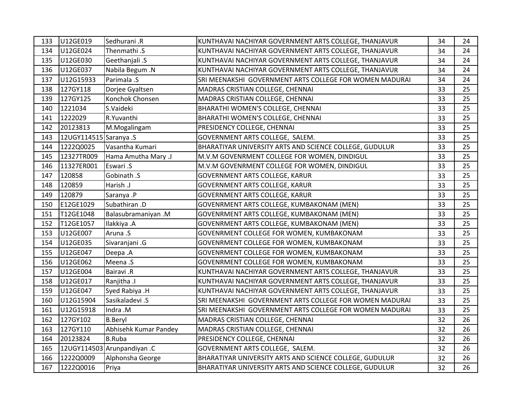| 133 | U12GE019               | Sedhurani .R                | KUNTHAVAI NACHIYAR GOVERNMENT ARTS COLLEGE, THANJAVUR   | 34 | 24 |
|-----|------------------------|-----------------------------|---------------------------------------------------------|----|----|
| 134 | U12GE024               | Thenmathi .S                | KUNTHAVAI NACHIYAR GOVERNMENT ARTS COLLEGE, THANJAVUR   | 34 | 24 |
| 135 | U12GE030               | Geethanjali .S              | KUNTHAVAI NACHIYAR GOVERNMENT ARTS COLLEGE, THANJAVUR   | 34 | 24 |
| 136 | U12GE037               | Nabila Begum .N             | KUNTHAVAI NACHIYAR GOVERNMENT ARTS COLLEGE, THANJAVUR   | 34 | 24 |
| 137 | U12G15933              | Parimala .S                 | SRI MEENAKSHI GOVERNMENT ARTS COLLEGE FOR WOMEN MADURAI | 34 | 24 |
| 138 | 127GY118               | Dorjee Gyaltsen             | MADRAS CRISTIAN COLLEGE, CHENNAI                        | 33 | 25 |
| 139 | 127GY125               | Konchok Chonsen             | MADRAS CRISTIAN COLLEGE, CHENNAI                        | 33 | 25 |
| 140 | 1221034                | S.Vaideki                   | BHARATHI WOMEN'S COLLEGE, CHENNAI                       | 33 | 25 |
| 141 | 1222029                | R.Yuvanthi                  | BHARATHI WOMEN'S COLLEGE, CHENNAI                       | 33 | 25 |
| 142 | 20123813               | M.Mogalingam                | PRESIDENCY COLLEGE, CHENNAI                             | 33 | 25 |
| 143 | 12UGY114515 Saranya .S |                             | GOVERNMENT ARTS COLLEGE, SALEM.                         | 33 | 25 |
| 144 | 1222Q0025              | Vasantha Kumari             | BHARATIYAR UNIVERSITY ARTS AND SCIENCE COLLEGE, GUDULUR | 33 | 25 |
| 145 | 12327TR009             | Hama Amutha Mary .J         | M.V.M GOVENRMENT COLLEGE FOR WOMEN, DINDIGUL            | 33 | 25 |
| 146 | 11327ER001             | Eswari .S                   | M.V.M GOVENRMENT COLLEGE FOR WOMEN, DINDIGUL            | 33 | 25 |
| 147 | 120858                 | Gobinath .S                 | GOVERNMENT ARTS COLLEGE, KARUR                          | 33 | 25 |
| 148 | 120859                 | Harish .J                   | GOVERNMENT ARTS COLLEGE, KARUR                          | 33 | 25 |
| 149 | 120879                 | Saranya .P                  | GOVERNMENT ARTS COLLEGE, KARUR                          | 33 | 25 |
| 150 | E12GE1029              | Subathiran .D               | GOVENRMENT ARTS COLLEGE, KUMBAKONAM (MEN)               | 33 | 25 |
| 151 | T12GE1048              | Balasubramaniyan .M         | GOVENRMENT ARTS COLLEGE, KUMBAKONAM (MEN)               | 33 | 25 |
| 152 | T12GE1057              | Ilakkiya .A                 | GOVENRMENT ARTS COLLEGE, KUMBAKONAM (MEN)               | 33 | 25 |
| 153 | U12GE007               | Aruna .S                    | GOVENRMENT COLLEGE FOR WOMEN, KUMBAKONAM                | 33 | 25 |
| 154 | U12GE035               | Sivaranjani .G              | GOVENRMENT COLLEGE FOR WOMEN, KUMBAKONAM                | 33 | 25 |
| 155 | U12GE047               | Deepa .A                    | GOVENRMENT COLLEGE FOR WOMEN, KUMBAKONAM                | 33 | 25 |
| 156 | U12GE062               | Meena .S                    | GOVENRMENT COLLEGE FOR WOMEN, KUMBAKONAM                | 33 | 25 |
| 157 | U12GE004               | <b>Bairavi</b> .R           | KUNTHAVAI NACHIYAR GOVERNMENT ARTS COLLEGE, THANJAVUR   | 33 | 25 |
| 158 | U12GE017               | Ranjitha .I                 | KUNTHAVAI NACHIYAR GOVERNMENT ARTS COLLEGE, THANJAVUR   | 33 | 25 |
| 159 | U12GE047               | Syed Rabiya .H              | KUNTHAVAI NACHIYAR GOVERNMENT ARTS COLLEGE, THANJAVUR   | 33 | 25 |
| 160 | U12G15904              | Sasikaladevi .S             | SRI MEENAKSHI GOVERNMENT ARTS COLLEGE FOR WOMEN MADURAI | 33 | 25 |
| 161 | U12G15918              | Indra .M                    | SRI MEENAKSHI GOVERNMENT ARTS COLLEGE FOR WOMEN MADURAI | 33 | 25 |
| 162 | 127GY102               | <b>B.Beryl</b>              | MADRAS CRISTIAN COLLEGE, CHENNAI                        | 32 | 26 |
| 163 | 127GY110               | Abhisehk Kumar Pandey       | MADRAS CRISTIAN COLLEGE, CHENNAI                        | 32 | 26 |
| 164 | 20123824               | <b>B.Ruba</b>               | PRESIDENCY COLLEGE, CHENNAI                             | 32 | 26 |
| 165 |                        | 12UGY114503 Arunpandiyan .C | GOVERNMENT ARTS COLLEGE, SALEM.                         | 32 | 26 |
| 166 | 1222Q0009              | Alphonsha George            | BHARATIYAR UNIVERSITY ARTS AND SCIENCE COLLEGE, GUDULUR | 32 | 26 |
| 167 | 1222Q0016              | Priya                       | BHARATIYAR UNIVERSITY ARTS AND SCIENCE COLLEGE, GUDULUR | 32 | 26 |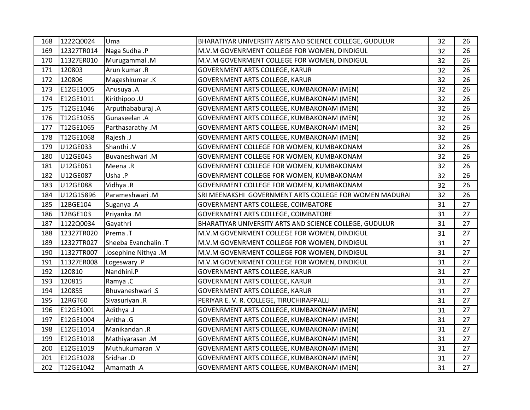| 168 | 1222Q0024  | Uma                  | BHARATIYAR UNIVERSITY ARTS AND SCIENCE COLLEGE, GUDULUR | 32 | 26 |
|-----|------------|----------------------|---------------------------------------------------------|----|----|
| 169 | 12327TR014 | Naga Sudha .P        | M.V.M GOVENRMENT COLLEGE FOR WOMEN, DINDIGUL            | 32 | 26 |
| 170 | 11327ER010 | Murugammal .M        | M.V.M GOVENRMENT COLLEGE FOR WOMEN, DINDIGUL            | 32 | 26 |
| 171 | 120803     | Arun kumar .R        | <b>GOVERNMENT ARTS COLLEGE, KARUR</b>                   | 32 | 26 |
| 172 | 120806     | Mageshkumar.K        | GOVERNMENT ARTS COLLEGE, KARUR                          | 32 | 26 |
| 173 | E12GE1005  | Anusuya .A           | GOVENRMENT ARTS COLLEGE, KUMBAKONAM (MEN)               | 32 | 26 |
| 174 | E12GE1011  | Kirithipoo .U        | GOVENRMENT ARTS COLLEGE, KUMBAKONAM (MEN)               | 32 | 26 |
| 175 | T12GE1046  | Arputhababuraj.A     | GOVENRMENT ARTS COLLEGE, KUMBAKONAM (MEN)               | 32 | 26 |
| 176 | T12GE1055  | Gunaseelan .A        | GOVENRMENT ARTS COLLEGE, KUMBAKONAM (MEN)               | 32 | 26 |
| 177 | T12GE1065  | Parthasarathy .M     | GOVENRMENT ARTS COLLEGE, KUMBAKONAM (MEN)               | 32 | 26 |
| 178 | T12GE1068  | Rajesh .J            | GOVENRMENT ARTS COLLEGE, KUMBAKONAM (MEN)               | 32 | 26 |
| 179 | U12GE033   | Shanthi .V           | GOVENRMENT COLLEGE FOR WOMEN, KUMBAKONAM                | 32 | 26 |
| 180 | U12GE045   | Buvaneshwari.M       | GOVENRMENT COLLEGE FOR WOMEN, KUMBAKONAM                | 32 | 26 |
| 181 | U12GE061   | Meena .R             | GOVENRMENT COLLEGE FOR WOMEN, KUMBAKONAM                | 32 | 26 |
| 182 | U12GE087   | Usha .P              | GOVENRMENT COLLEGE FOR WOMEN, KUMBAKONAM                | 32 | 26 |
| 183 | U12GE088   | Vidhya .R            | GOVENRMENT COLLEGE FOR WOMEN, KUMBAKONAM                | 32 | 26 |
| 184 | U12G15896  | Parameshwari.M       | SRI MEENAKSHI GOVERNMENT ARTS COLLEGE FOR WOMEN MADURAI | 32 | 26 |
| 185 | 12BGE104   | Suganya .A           | GOVERNMENT ARTS COLLEGE, COIMBATORE                     | 31 | 27 |
| 186 | 12BGE103   | Priyanka .M          | GOVERNMENT ARTS COLLEGE, COIMBATORE                     | 31 | 27 |
| 187 | 1122Q0034  | Gayathri             | BHARATIYAR UNIVERSITY ARTS AND SCIENCE COLLEGE, GUDULUR | 31 | 27 |
| 188 | 12327TR020 | Prema .T             | M.V.M GOVENRMENT COLLEGE FOR WOMEN, DINDIGUL            | 31 | 27 |
| 189 | 12327TR027 | Sheeba Evanchalin .T | M.V.M GOVENRMENT COLLEGE FOR WOMEN, DINDIGUL            | 31 | 27 |
| 190 | 11327TR007 | Josephine Nithya .M  | M.V.M GOVENRMENT COLLEGE FOR WOMEN, DINDIGUL            | 31 | 27 |
| 191 | 11327ER008 | Logeswary .P         | M.V.M GOVENRMENT COLLEGE FOR WOMEN, DINDIGUL            | 31 | 27 |
| 192 | 120810     | Nandhini.P           | <b>GOVERNMENT ARTS COLLEGE, KARUR</b>                   | 31 | 27 |
| 193 | 120815     | Ramya.C              | <b>GOVERNMENT ARTS COLLEGE, KARUR</b>                   | 31 | 27 |
| 194 | 120855     | Bhuvaneshwari.S      | <b>GOVERNMENT ARTS COLLEGE, KARUR</b>                   | 31 | 27 |
| 195 | 12RGT60    | Sivasuriyan .R       | PERIYAR E. V. R. COLLEGE, TIRUCHIRAPPALLI               | 31 | 27 |
| 196 | E12GE1001  | Adithya .J           | GOVENRMENT ARTS COLLEGE, KUMBAKONAM (MEN)               | 31 | 27 |
| 197 | E12GE1004  | Anitha .G            | GOVENRMENT ARTS COLLEGE, KUMBAKONAM (MEN)               | 31 | 27 |
| 198 | E12GE1014  | Manikandan .R        | GOVENRMENT ARTS COLLEGE, KUMBAKONAM (MEN)               | 31 | 27 |
| 199 | E12GE1018  | Mathiyarasan .M      | GOVENRMENT ARTS COLLEGE, KUMBAKONAM (MEN)               | 31 | 27 |
| 200 | E12GE1019  | Muthukumaran .V      | GOVENRMENT ARTS COLLEGE, KUMBAKONAM (MEN)               | 31 | 27 |
| 201 | E12GE1028  | Sridhar .D           | GOVENRMENT ARTS COLLEGE, KUMBAKONAM (MEN)               | 31 | 27 |
| 202 | T12GE1042  | Amarnath .A          | GOVENRMENT ARTS COLLEGE, KUMBAKONAM (MEN)               | 31 | 27 |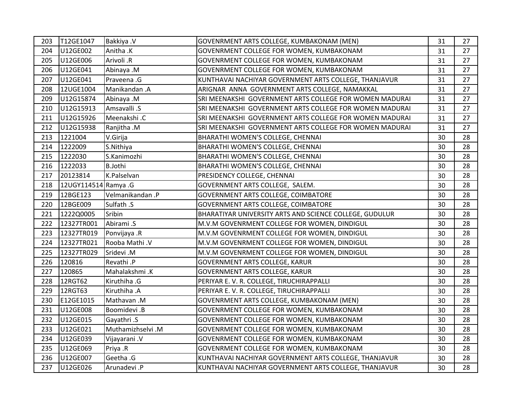| 203 | T12GE1047            | Bakkiya .V        | GOVENRMENT ARTS COLLEGE, KUMBAKONAM (MEN)               | 31 | 27 |
|-----|----------------------|-------------------|---------------------------------------------------------|----|----|
| 204 | U12GE002             | Anitha .K         | GOVENRMENT COLLEGE FOR WOMEN, KUMBAKONAM                | 31 | 27 |
| 205 | U12GE006             | Arivoli .R        | GOVENRMENT COLLEGE FOR WOMEN, KUMBAKONAM                | 31 | 27 |
| 206 | U12GE041             | Abinaya .M        | GOVENRMENT COLLEGE FOR WOMEN, KUMBAKONAM                | 31 | 27 |
| 207 | U12GE041             | Praveena .G       | KUNTHAVAI NACHIYAR GOVERNMENT ARTS COLLEGE, THANJAVUR   | 31 | 27 |
| 208 | 12UGE1004            | Manikandan .A     | ARIGNAR ANNA GOVERNMENT ARTS COLLEGE, NAMAKKAL          | 31 | 27 |
| 209 | U12G15874            | Abinaya .M        | SRI MEENAKSHI GOVERNMENT ARTS COLLEGE FOR WOMEN MADURAI | 31 | 27 |
| 210 | U12G15913            | Amsavalli .S      | SRI MEENAKSHI GOVERNMENT ARTS COLLEGE FOR WOMEN MADURAI | 31 | 27 |
| 211 | U12G15926            | Meenakshi.C       | SRI MEENAKSHI GOVERNMENT ARTS COLLEGE FOR WOMEN MADURAI | 31 | 27 |
| 212 | U12G15938            | Ranjitha .M       | SRI MEENAKSHI GOVERNMENT ARTS COLLEGE FOR WOMEN MADURAI | 31 | 27 |
| 213 | 1221004              | V.Girija          | BHARATHI WOMEN'S COLLEGE, CHENNAI                       | 30 | 28 |
| 214 | 1222009              | S.Nithiya         | BHARATHI WOMEN'S COLLEGE, CHENNAI                       | 30 | 28 |
| 215 | 1222030              | S.Kanimozhi       | BHARATHI WOMEN'S COLLEGE, CHENNAI                       | 30 | 28 |
| 216 | 1222033              | <b>B.Jothi</b>    | BHARATHI WOMEN'S COLLEGE, CHENNAI                       | 30 | 28 |
| 217 | 20123814             | K.Palselvan       | PRESIDENCY COLLEGE, CHENNAI                             | 30 | 28 |
| 218 | 12UGY114514 Ramya .G |                   | GOVERNMENT ARTS COLLEGE, SALEM.                         | 30 | 28 |
| 219 | 12BGE123             | Velmanikandan.P   | GOVERNMENT ARTS COLLEGE, COIMBATORE                     | 30 | 28 |
| 220 | 12BGE009             | Sulfath .S        | GOVERNMENT ARTS COLLEGE, COIMBATORE                     | 30 | 28 |
| 221 | 1222Q0005            | Sribin            | BHARATIYAR UNIVERSITY ARTS AND SCIENCE COLLEGE, GUDULUR | 30 | 28 |
| 222 | 12327TR001           | Abirami .S        | M.V.M GOVENRMENT COLLEGE FOR WOMEN, DINDIGUL            | 30 | 28 |
| 223 | 12327TR019           | Ponvijaya .R      | M.V.M GOVENRMENT COLLEGE FOR WOMEN, DINDIGUL            | 30 | 28 |
| 224 | 12327TR021           | Rooba Mathi .V    | M.V.M GOVENRMENT COLLEGE FOR WOMEN, DINDIGUL            | 30 | 28 |
| 225 | 12327TR029           | Sridevi .M        | M.V.M GOVENRMENT COLLEGE FOR WOMEN, DINDIGUL            | 30 | 28 |
| 226 | 120816               | Revathi.P         | <b>GOVERNMENT ARTS COLLEGE, KARUR</b>                   | 30 | 28 |
| 227 | 120865               | Mahalakshmi .K    | <b>GOVERNMENT ARTS COLLEGE, KARUR</b>                   | 30 | 28 |
| 228 | 12RGT62              | Kiruthiha .G      | PERIYAR E. V. R. COLLEGE, TIRUCHIRAPPALLI               | 30 | 28 |
| 229 | 12RGT63              | Kiruthiha .A      | PERIYAR E. V. R. COLLEGE, TIRUCHIRAPPALLI               | 30 | 28 |
| 230 | E12GE1015            | Mathavan .M       | GOVENRMENT ARTS COLLEGE, KUMBAKONAM (MEN)               | 30 | 28 |
| 231 | U12GE008             | Boomidevi .B      | GOVENRMENT COLLEGE FOR WOMEN, KUMBAKONAM                | 30 | 28 |
| 232 | U12GE015             | Gayathri .S       | GOVENRMENT COLLEGE FOR WOMEN, KUMBAKONAM                | 30 | 28 |
| 233 | U12GE021             | Muthamizhselvi .M | GOVENRMENT COLLEGE FOR WOMEN, KUMBAKONAM                | 30 | 28 |
| 234 | U12GE039             | Vijayarani. V     | GOVENRMENT COLLEGE FOR WOMEN, KUMBAKONAM                | 30 | 28 |
| 235 | U12GE069             | Priya .R          | GOVENRMENT COLLEGE FOR WOMEN, KUMBAKONAM                | 30 | 28 |
| 236 | U12GE007             | Geetha .G         | KUNTHAVAI NACHIYAR GOVERNMENT ARTS COLLEGE, THANJAVUR   | 30 | 28 |
| 237 | U12GE026             | Arunadevi .P      | KUNTHAVAI NACHIYAR GOVERNMENT ARTS COLLEGE, THANJAVUR   | 30 | 28 |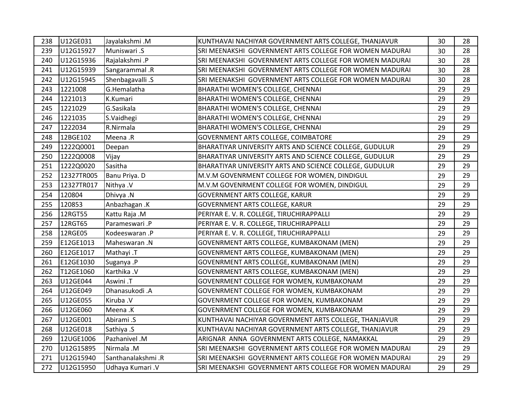| 238 | U12GE031   | Jayalakshmi.M     | KUNTHAVAI NACHIYAR GOVERNMENT ARTS COLLEGE, THANJAVUR   | 30 | 28 |
|-----|------------|-------------------|---------------------------------------------------------|----|----|
| 239 | U12G15927  | Muniswari .S      | SRI MEENAKSHI GOVERNMENT ARTS COLLEGE FOR WOMEN MADURAI | 30 | 28 |
| 240 | U12G15936  | Rajalakshmi .P    | SRI MEENAKSHI GOVERNMENT ARTS COLLEGE FOR WOMEN MADURAI | 30 | 28 |
| 241 | U12G15939  | Sangarammal .R    | SRI MEENAKSHI GOVERNMENT ARTS COLLEGE FOR WOMEN MADURAI | 30 | 28 |
| 242 | U12G15945  | Shenbagavalli .S  | SRI MEENAKSHI GOVERNMENT ARTS COLLEGE FOR WOMEN MADURAI | 30 | 28 |
| 243 | 1221008    | G.Hemalatha       | BHARATHI WOMEN'S COLLEGE, CHENNAI                       | 29 | 29 |
| 244 | 1221013    | K.Kumari          | BHARATHI WOMEN'S COLLEGE, CHENNAI                       | 29 | 29 |
| 245 | 1221029    | G.Sasikala        | BHARATHI WOMEN'S COLLEGE, CHENNAI                       | 29 | 29 |
| 246 | 1221035    | S.Vaidhegi        | BHARATHI WOMEN'S COLLEGE, CHENNAI                       | 29 | 29 |
| 247 | 1222034    | R.Nirmala         | BHARATHI WOMEN'S COLLEGE, CHENNAI                       | 29 | 29 |
| 248 | 12BGE102   | Meena .R          | GOVERNMENT ARTS COLLEGE, COIMBATORE                     | 29 | 29 |
| 249 | 1222Q0001  | Deepan            | BHARATIYAR UNIVERSITY ARTS AND SCIENCE COLLEGE, GUDULUR | 29 | 29 |
| 250 | 1222Q0008  | Vijay             | BHARATIYAR UNIVERSITY ARTS AND SCIENCE COLLEGE, GUDULUR | 29 | 29 |
| 251 | 1222Q0020  | Sasitha           | BHARATIYAR UNIVERSITY ARTS AND SCIENCE COLLEGE, GUDULUR | 29 | 29 |
| 252 | 12327TR005 | Banu Priya. D     | M.V.M GOVENRMENT COLLEGE FOR WOMEN, DINDIGUL            | 29 | 29 |
| 253 | 12327TR017 | Nithya .V         | M.V.M GOVENRMENT COLLEGE FOR WOMEN, DINDIGUL            | 29 | 29 |
| 254 | 120804     | Dhivya .N         | <b>GOVERNMENT ARTS COLLEGE, KARUR</b>                   | 29 | 29 |
| 255 | 120853     | Anbazhagan .K     | <b>GOVERNMENT ARTS COLLEGE, KARUR</b>                   | 29 | 29 |
| 256 | 12RGT55    | Kattu Raja .M     | PERIYAR E. V. R. COLLEGE, TIRUCHIRAPPALLI               | 29 | 29 |
| 257 | 12RGT65    | Parameswari.P     | PERIYAR E. V. R. COLLEGE, TIRUCHIRAPPALLI               | 29 | 29 |
| 258 | 12RGE05    | Kodeeswaran.P     | PERIYAR E. V. R. COLLEGE, TIRUCHIRAPPALLI               | 29 | 29 |
| 259 | E12GE1013  | Maheswaran.N      | GOVENRMENT ARTS COLLEGE, KUMBAKONAM (MEN)               | 29 | 29 |
| 260 | E12GE1017  | Mathayi .T        | GOVENRMENT ARTS COLLEGE, KUMBAKONAM (MEN)               | 29 | 29 |
| 261 | E12GE1030  | Suganya .P        | GOVENRMENT ARTS COLLEGE, KUMBAKONAM (MEN)               | 29 | 29 |
| 262 | T12GE1060  | Karthika .V       | GOVENRMENT ARTS COLLEGE, KUMBAKONAM (MEN)               | 29 | 29 |
| 263 | U12GE044   | Aswini .T         | GOVENRMENT COLLEGE FOR WOMEN, KUMBAKONAM                | 29 | 29 |
| 264 | U12GE049   | Dhanasukodi .A    | GOVENRMENT COLLEGE FOR WOMEN, KUMBAKONAM                | 29 | 29 |
| 265 | U12GE055   | Kiruba .V         | GOVENRMENT COLLEGE FOR WOMEN, KUMBAKONAM                | 29 | 29 |
| 266 | U12GE060   | Meena .K          | GOVENRMENT COLLEGE FOR WOMEN, KUMBAKONAM                | 29 | 29 |
| 267 | U12GE001   | Abirami.S         | KUNTHAVAI NACHIYAR GOVERNMENT ARTS COLLEGE, THANJAVUR   | 29 | 29 |
| 268 | U12GE018   | Sathiya .S        | KUNTHAVAI NACHIYAR GOVERNMENT ARTS COLLEGE, THANJAVUR   | 29 | 29 |
| 269 | 12UGE1006  | Pazhanivel .M     | ARIGNAR ANNA GOVERNMENT ARTS COLLEGE, NAMAKKAL          | 29 | 29 |
| 270 | U12G15895  | Nirmala .M        | SRI MEENAKSHI GOVERNMENT ARTS COLLEGE FOR WOMEN MADURAI | 29 | 29 |
| 271 | U12G15940  | Santhanalakshmi.R | SRI MEENAKSHI GOVERNMENT ARTS COLLEGE FOR WOMEN MADURAI | 29 | 29 |
| 272 | U12G15950  | Udhaya Kumari .V  | SRI MEENAKSHI GOVERNMENT ARTS COLLEGE FOR WOMEN MADURAI | 29 | 29 |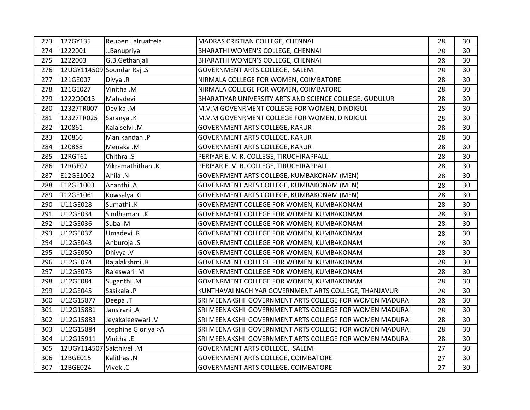| 273 | 127GY135                   | Reuben Lalruatfela   | MADRAS CRISTIAN COLLEGE, CHENNAI                        | 28 | 30 |
|-----|----------------------------|----------------------|---------------------------------------------------------|----|----|
| 274 | 1222001                    | J.Banupriya          | BHARATHI WOMEN'S COLLEGE, CHENNAI                       | 28 | 30 |
| 275 | 1222003                    | G.B.Gethanjali       | BHARATHI WOMEN'S COLLEGE, CHENNAI                       | 28 | 30 |
| 276 | 12UGY114509 Soundar Raj .S |                      | GOVERNMENT ARTS COLLEGE, SALEM.                         | 28 | 30 |
| 277 | 121GE007                   | Divya .R             | NIRMALA COLLEGE FOR WOMEN, COIMBATORE                   | 28 | 30 |
| 278 | 121GE027                   | Vinitha .M           | NIRMALA COLLEGE FOR WOMEN, COIMBATORE                   | 28 | 30 |
| 279 | 1222Q0013                  | Mahadevi             | BHARATIYAR UNIVERSITY ARTS AND SCIENCE COLLEGE, GUDULUR | 28 | 30 |
| 280 | 12327TR007                 | Devika .M            | M.V.M GOVENRMENT COLLEGE FOR WOMEN, DINDIGUL            | 28 | 30 |
| 281 | 12327TR025                 | Saranya .K           | M.V.M GOVENRMENT COLLEGE FOR WOMEN, DINDIGUL            | 28 | 30 |
| 282 | 120861                     | Kalaiselvi .M        | <b>GOVERNMENT ARTS COLLEGE, KARUR</b>                   | 28 | 30 |
| 283 | 120866                     | Manikandan .P        | <b>GOVERNMENT ARTS COLLEGE, KARUR</b>                   | 28 | 30 |
| 284 | 120868                     | Menaka .M            | <b>GOVERNMENT ARTS COLLEGE, KARUR</b>                   | 28 | 30 |
| 285 | 12RGT61                    | Chithra .S           | PERIYAR E. V. R. COLLEGE, TIRUCHIRAPPALLI               | 28 | 30 |
| 286 | 12RGE07                    | Vikramathithan .K    | PERIYAR E. V. R. COLLEGE, TIRUCHIRAPPALLI               | 28 | 30 |
| 287 | E12GE1002                  | Ahila .N             | GOVENRMENT ARTS COLLEGE, KUMBAKONAM (MEN)               | 28 | 30 |
| 288 | E12GE1003                  | Ananthi .A           | GOVENRMENT ARTS COLLEGE, KUMBAKONAM (MEN)               | 28 | 30 |
| 289 | T12GE1061                  | Kowsalya .G          | GOVENRMENT ARTS COLLEGE, KUMBAKONAM (MEN)               | 28 | 30 |
| 290 | U11GE028                   | Sumathi .K           | GOVENRMENT COLLEGE FOR WOMEN, KUMBAKONAM                | 28 | 30 |
| 291 | U12GE034                   | Sindhamani .K        | GOVENRMENT COLLEGE FOR WOMEN, KUMBAKONAM                | 28 | 30 |
| 292 | U12GE036                   | Suba .M              | GOVENRMENT COLLEGE FOR WOMEN, KUMBAKONAM                | 28 | 30 |
| 293 | U12GE037                   | Umadevi .R           | GOVENRMENT COLLEGE FOR WOMEN, KUMBAKONAM                | 28 | 30 |
| 294 | U12GE043                   | Anburoja .S          | GOVENRMENT COLLEGE FOR WOMEN, KUMBAKONAM                | 28 | 30 |
| 295 | U12GE050                   | Dhivya .V            | GOVENRMENT COLLEGE FOR WOMEN, KUMBAKONAM                | 28 | 30 |
| 296 | U12GE074                   | Rajalakshmi .R       | GOVENRMENT COLLEGE FOR WOMEN, KUMBAKONAM                | 28 | 30 |
| 297 | U12GE075                   | Rajeswari .M         | GOVENRMENT COLLEGE FOR WOMEN, KUMBAKONAM                | 28 | 30 |
| 298 | U12GE084                   | Suganthi.M           | GOVENRMENT COLLEGE FOR WOMEN, KUMBAKONAM                | 28 | 30 |
| 299 | U12GE045                   | Sasikala .P          | KUNTHAVAI NACHIYAR GOVERNMENT ARTS COLLEGE, THANJAVUR   | 28 | 30 |
| 300 | U12G15877                  | Deepa .T             | SRI MEENAKSHI GOVERNMENT ARTS COLLEGE FOR WOMEN MADURAI | 28 | 30 |
| 301 | U12G15881                  | Jansirani .A         | SRI MEENAKSHI GOVERNMENT ARTS COLLEGE FOR WOMEN MADURAI | 28 | 30 |
| 302 | U12G15883                  | Jeyakaleeswari. V    | SRI MEENAKSHI GOVERNMENT ARTS COLLEGE FOR WOMEN MADURAI | 28 | 30 |
| 303 | U12G15884                  | Josphine Gloriya > A | SRI MEENAKSHI GOVERNMENT ARTS COLLEGE FOR WOMEN MADURAI | 28 | 30 |
| 304 | U12G15911                  | Vinitha .E           | SRI MEENAKSHI GOVERNMENT ARTS COLLEGE FOR WOMEN MADURAI | 28 | 30 |
| 305 | 12UGY114507 Sakthivel .M   |                      | GOVERNMENT ARTS COLLEGE, SALEM.                         | 27 | 30 |
| 306 | 12BGE015                   | Kalithas .N          | <b>GOVERNMENT ARTS COLLEGE, COIMBATORE</b>              | 27 | 30 |
| 307 | 12BGE024                   | Vivek .C             | GOVERNMENT ARTS COLLEGE, COIMBATORE                     | 27 | 30 |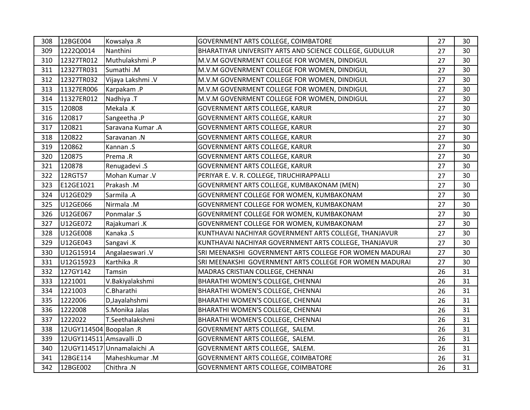| 308 | 12BGE004                 | Kowsalya .R                 | GOVERNMENT ARTS COLLEGE, COIMBATORE                     | 27 | 30 |
|-----|--------------------------|-----------------------------|---------------------------------------------------------|----|----|
| 309 | 1222Q0014                | Nanthini                    | BHARATIYAR UNIVERSITY ARTS AND SCIENCE COLLEGE, GUDULUR | 27 | 30 |
| 310 | 12327TR012               | Muthulakshmi .P             | M.V.M GOVENRMENT COLLEGE FOR WOMEN, DINDIGUL            | 27 | 30 |
| 311 | 12327TR031               | Sumathi .M                  | M.V.M GOVENRMENT COLLEGE FOR WOMEN, DINDIGUL            | 27 | 30 |
| 312 | 12327TR032               | Vijaya Lakshmi .V           | M.V.M GOVENRMENT COLLEGE FOR WOMEN, DINDIGUL            | 27 | 30 |
| 313 | 11327ER006               | Karpakam .P                 | M.V.M GOVENRMENT COLLEGE FOR WOMEN, DINDIGUL            | 27 | 30 |
| 314 | 11327ER012               | Nadhiya .T                  | M.V.M GOVENRMENT COLLEGE FOR WOMEN, DINDIGUL            | 27 | 30 |
| 315 | 120808                   | Mekala .K                   | <b>GOVERNMENT ARTS COLLEGE, KARUR</b>                   | 27 | 30 |
| 316 | 120817                   | Sangeetha .P                | GOVERNMENT ARTS COLLEGE, KARUR                          | 27 | 30 |
| 317 | 120821                   | Saravana Kumar .A           | GOVERNMENT ARTS COLLEGE, KARUR                          | 27 | 30 |
| 318 | 120822                   | Saravanan.N                 | GOVERNMENT ARTS COLLEGE, KARUR                          | 27 | 30 |
| 319 | 120862                   | Kannan.S                    | <b>GOVERNMENT ARTS COLLEGE, KARUR</b>                   | 27 | 30 |
| 320 | 120875                   | Prema .R                    | <b>GOVERNMENT ARTS COLLEGE, KARUR</b>                   | 27 | 30 |
| 321 | 120878                   | Renugadevi .S               | GOVERNMENT ARTS COLLEGE, KARUR                          | 27 | 30 |
| 322 | 12RGT57                  | Mohan Kumar .V              | PERIYAR E. V. R. COLLEGE, TIRUCHIRAPPALLI               | 27 | 30 |
| 323 | E12GE1021                | Prakash .M                  | GOVENRMENT ARTS COLLEGE, KUMBAKONAM (MEN)               | 27 | 30 |
| 324 | U12GE029                 | Sarmila .A                  | GOVENRMENT COLLEGE FOR WOMEN, KUMBAKONAM                | 27 | 30 |
| 325 | U12GE066                 | Nirmala .M                  | GOVENRMENT COLLEGE FOR WOMEN, KUMBAKONAM                | 27 | 30 |
| 326 | U12GE067                 | Ponmalar .S                 | GOVENRMENT COLLEGE FOR WOMEN, KUMBAKONAM                | 27 | 30 |
| 327 | U12GE072                 | Rajakumari .K               | GOVENRMENT COLLEGE FOR WOMEN, KUMBAKONAM                | 27 | 30 |
| 328 | U12GE008                 | Kanaka .S                   | KUNTHAVAI NACHIYAR GOVERNMENT ARTS COLLEGE, THANJAVUR   | 27 | 30 |
| 329 | U12GE043                 | Sangavi .K                  | KUNTHAVAI NACHIYAR GOVERNMENT ARTS COLLEGE, THANJAVUR   | 27 | 30 |
| 330 | U12G15914                | Angalaeswari .V             | SRI MEENAKSHI GOVERNMENT ARTS COLLEGE FOR WOMEN MADURAI | 27 | 30 |
| 331 | U12G15923                | Karthika .R                 | SRI MEENAKSHI GOVERNMENT ARTS COLLEGE FOR WOMEN MADURAI | 27 | 30 |
| 332 | 127GY142                 | Tamsin                      | MADRAS CRISTIAN COLLEGE, CHENNAI                        | 26 | 31 |
| 333 | 1221001                  | V.Bakiyalakshmi             | BHARATHI WOMEN'S COLLEGE, CHENNAI                       | 26 | 31 |
| 334 | 1221003                  | C.Bharathi                  | BHARATHI WOMEN'S COLLEGE, CHENNAI                       | 26 | 31 |
| 335 | 1222006                  | D, Jayalahshmi              | BHARATHI WOMEN'S COLLEGE, CHENNAI                       | 26 | 31 |
| 336 | 1222008                  | S.Monika Jalas              | BHARATHI WOMEN'S COLLEGE, CHENNAI                       | 26 | 31 |
| 337 | 1222022                  | T.Seethalakshmi             | BHARATHI WOMEN'S COLLEGE, CHENNAI                       | 26 | 31 |
| 338 | 12UGY114504 Boopalan .R  |                             | GOVERNMENT ARTS COLLEGE, SALEM.                         | 26 | 31 |
| 339 | 12UGY114511 Amsavalli .D |                             | GOVERNMENT ARTS COLLEGE, SALEM.                         | 26 | 31 |
| 340 |                          | 12UGY114517 Unnamalaichi .A | GOVERNMENT ARTS COLLEGE, SALEM.                         | 26 | 31 |
| 341 | 12BGE114                 | Maheshkumar.M               | GOVERNMENT ARTS COLLEGE, COIMBATORE                     | 26 | 31 |
| 342 | 12BGE002                 | Chithra .N                  | GOVERNMENT ARTS COLLEGE, COIMBATORE                     | 26 | 31 |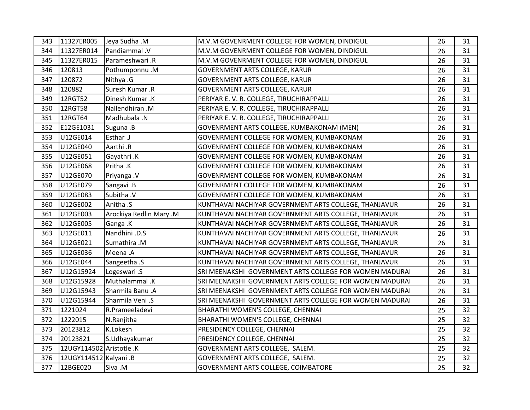| 343 | 11327ER005               | Jeya Sudha .M           | M.V.M GOVENRMENT COLLEGE FOR WOMEN, DINDIGUL            | 26 | 31 |
|-----|--------------------------|-------------------------|---------------------------------------------------------|----|----|
| 344 | 11327ER014               | Pandiammal .V           | M.V.M GOVENRMENT COLLEGE FOR WOMEN, DINDIGUL            | 26 | 31 |
| 345 | 11327ER015               | Parameshwari .R         | M.V.M GOVENRMENT COLLEGE FOR WOMEN, DINDIGUL            | 26 | 31 |
| 346 | 120813                   | Pothumponnu.M           | GOVERNMENT ARTS COLLEGE, KARUR                          | 26 | 31 |
| 347 | 120872                   | Nithya .G               | GOVERNMENT ARTS COLLEGE, KARUR                          | 26 | 31 |
| 348 | 120882                   | Suresh Kumar .R         | <b>GOVERNMENT ARTS COLLEGE, KARUR</b>                   | 26 | 31 |
| 349 | 12RGT52                  | Dinesh Kumar.K          | PERIYAR E. V. R. COLLEGE, TIRUCHIRAPPALLI               | 26 | 31 |
| 350 | 12RGT58                  | Nallendhiran .M         | PERIYAR E. V. R. COLLEGE, TIRUCHIRAPPALLI               | 26 | 31 |
| 351 | 12RGT64                  | Madhubala .N            | PERIYAR E. V. R. COLLEGE, TIRUCHIRAPPALLI               | 26 | 31 |
| 352 | E12GE1031                | Suguna .B               | GOVENRMENT ARTS COLLEGE, KUMBAKONAM (MEN)               | 26 | 31 |
| 353 | U12GE014                 | Esthar .J               | GOVENRMENT COLLEGE FOR WOMEN, KUMBAKONAM                | 26 | 31 |
| 354 | U12GE040                 | Aarthi .R               | GOVENRMENT COLLEGE FOR WOMEN, KUMBAKONAM                | 26 | 31 |
| 355 | U12GE051                 | Gayathri .K             | GOVENRMENT COLLEGE FOR WOMEN, KUMBAKONAM                | 26 | 31 |
| 356 | U12GE068                 | Pritha .K               | GOVENRMENT COLLEGE FOR WOMEN, KUMBAKONAM                | 26 | 31 |
| 357 | U12GE070                 | Priyanga .V             | GOVENRMENT COLLEGE FOR WOMEN, KUMBAKONAM                | 26 | 31 |
| 358 | U12GE079                 | Sangavi .B              | GOVENRMENT COLLEGE FOR WOMEN, KUMBAKONAM                | 26 | 31 |
| 359 | U12GE083                 | Subitha .V              | GOVENRMENT COLLEGE FOR WOMEN, KUMBAKONAM                | 26 | 31 |
| 360 | U12GE002                 | Anitha .S               | KUNTHAVAI NACHIYAR GOVERNMENT ARTS COLLEGE, THANJAVUR   | 26 | 31 |
| 361 | U12GE003                 | Arockiya Redlin Mary .M | KUNTHAVAI NACHIYAR GOVERNMENT ARTS COLLEGE, THANJAVUR   | 26 | 31 |
| 362 | U12GE005                 | Ganga .K                | KUNTHAVAI NACHIYAR GOVERNMENT ARTS COLLEGE, THANJAVUR   | 26 | 31 |
| 363 | U12GE011                 | Nandhini .D.S           | KUNTHAVAI NACHIYAR GOVERNMENT ARTS COLLEGE, THANJAVUR   | 26 | 31 |
| 364 | U12GE021                 | Sumathira .M            | KUNTHAVAI NACHIYAR GOVERNMENT ARTS COLLEGE, THANJAVUR   | 26 | 31 |
| 365 | U12GE036                 | Meena .A                | KUNTHAVAI NACHIYAR GOVERNMENT ARTS COLLEGE, THANJAVUR   | 26 | 31 |
| 366 | U12GE044                 | Sangeetha .S            | KUNTHAVAI NACHIYAR GOVERNMENT ARTS COLLEGE, THANJAVUR   | 26 | 31 |
| 367 | U12G15924                | Logeswari .S            | SRI MEENAKSHI GOVERNMENT ARTS COLLEGE FOR WOMEN MADURAI | 26 | 31 |
| 368 | U12G15928                | Muthalammal .K          | SRI MEENAKSHI GOVERNMENT ARTS COLLEGE FOR WOMEN MADURAI | 26 | 31 |
| 369 | U12G15943                | Sharmila Banu .A        | SRI MEENAKSHI GOVERNMENT ARTS COLLEGE FOR WOMEN MADURAI | 26 | 31 |
| 370 | U12G15944                | Sharmila Veni .S        | SRI MEENAKSHI GOVERNMENT ARTS COLLEGE FOR WOMEN MADURAI | 26 | 31 |
| 371 | 1221024                  | R.Prameeladevi          | BHARATHI WOMEN'S COLLEGE, CHENNAI                       | 25 | 32 |
| 372 | 1222015                  | N.Ranjitha              | BHARATHI WOMEN'S COLLEGE, CHENNAI                       | 25 | 32 |
| 373 | 20123812                 | K.Lokesh                | PRESIDENCY COLLEGE, CHENNAI                             | 25 | 32 |
| 374 | 20123821                 | S.Udhayakumar           | PRESIDENCY COLLEGE, CHENNAI                             | 25 | 32 |
| 375 | 12UGY114502 Aristotle .K |                         | GOVERNMENT ARTS COLLEGE, SALEM.                         | 25 | 32 |
| 376 | 12UGY114512 Kalyani .B   |                         | GOVERNMENT ARTS COLLEGE, SALEM.                         | 25 | 32 |
| 377 | 12BGE020                 | Siva .M                 | GOVERNMENT ARTS COLLEGE, COIMBATORE                     | 25 | 32 |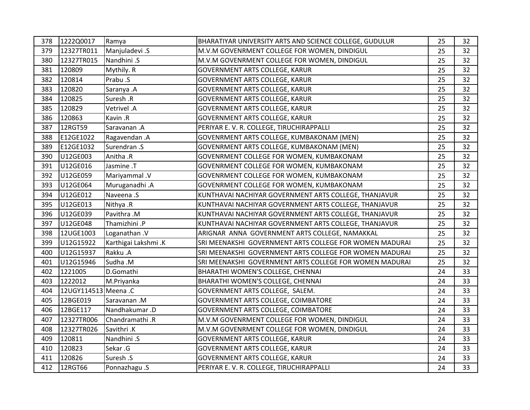| 378 | 1222Q0017            | Ramya                | BHARATIYAR UNIVERSITY ARTS AND SCIENCE COLLEGE, GUDULUR | 25 | 32 |
|-----|----------------------|----------------------|---------------------------------------------------------|----|----|
| 379 | 12327TR011           | Manjuladevi .S       | M.V.M GOVENRMENT COLLEGE FOR WOMEN, DINDIGUL            | 25 | 32 |
| 380 | 12327TR015           | Nandhini .S          | M.V.M GOVENRMENT COLLEGE FOR WOMEN, DINDIGUL            | 25 | 32 |
| 381 | 120809               | Mythily. R           | <b>GOVERNMENT ARTS COLLEGE, KARUR</b>                   | 25 | 32 |
| 382 | 120814               | Prabu .S             | GOVERNMENT ARTS COLLEGE, KARUR                          | 25 | 32 |
| 383 | 120820               | Saranya .A           | GOVERNMENT ARTS COLLEGE, KARUR                          | 25 | 32 |
| 384 | 120825               | Suresh .R            | <b>GOVERNMENT ARTS COLLEGE, KARUR</b>                   | 25 | 32 |
| 385 | 120829               | Vetrivel .A          | <b>GOVERNMENT ARTS COLLEGE, KARUR</b>                   | 25 | 32 |
| 386 | 120863               | Kavin .R             | GOVERNMENT ARTS COLLEGE, KARUR                          | 25 | 32 |
| 387 | 12RGT59              | Saravanan .A         | PERIYAR E. V. R. COLLEGE, TIRUCHIRAPPALLI               | 25 | 32 |
| 388 | E12GE1022            | Ragavendan.A         | GOVENRMENT ARTS COLLEGE, KUMBAKONAM (MEN)               | 25 | 32 |
| 389 | E12GE1032            | Surendran .S         | GOVENRMENT ARTS COLLEGE, KUMBAKONAM (MEN)               | 25 | 32 |
| 390 | U12GE003             | Anitha .R            | GOVENRMENT COLLEGE FOR WOMEN, KUMBAKONAM                | 25 | 32 |
| 391 | U12GE016             | Jasmine .T           | GOVENRMENT COLLEGE FOR WOMEN, KUMBAKONAM                | 25 | 32 |
| 392 | U12GE059             | <b>Mariyammal</b> .V | GOVENRMENT COLLEGE FOR WOMEN, KUMBAKONAM                | 25 | 32 |
| 393 | U12GE064             | Muruganadhi.A        | GOVENRMENT COLLEGE FOR WOMEN, KUMBAKONAM                | 25 | 32 |
| 394 | U12GE012             | Naveena .S           | KUNTHAVAI NACHIYAR GOVERNMENT ARTS COLLEGE, THANJAVUR   | 25 | 32 |
| 395 | U12GE013             | Nithya .R            | KUNTHAVAI NACHIYAR GOVERNMENT ARTS COLLEGE, THANJAVUR   | 25 | 32 |
| 396 | U12GE039             | Pavithra .M          | KUNTHAVAI NACHIYAR GOVERNMENT ARTS COLLEGE, THANJAVUR   | 25 | 32 |
| 397 | U12GE048             | Thamizhini .P        | KUNTHAVAI NACHIYAR GOVERNMENT ARTS COLLEGE, THANJAVUR   | 25 | 32 |
| 398 | 12UGE1003            | Loganathan.V         | ARIGNAR ANNA GOVERNMENT ARTS COLLEGE, NAMAKKAL          | 25 | 32 |
| 399 | U12G15922            | Karthigai Lakshmi .K | SRI MEENAKSHI GOVERNMENT ARTS COLLEGE FOR WOMEN MADURAI | 25 | 32 |
| 400 | U12G15937            | Rakku .A             | SRI MEENAKSHI GOVERNMENT ARTS COLLEGE FOR WOMEN MADURAI | 25 | 32 |
| 401 | U12G15946            | Sudha .M             | SRI MEENAKSHI GOVERNMENT ARTS COLLEGE FOR WOMEN MADURAI | 25 | 32 |
| 402 | 1221005              | D.Gomathi            | BHARATHI WOMEN'S COLLEGE, CHENNAI                       | 24 | 33 |
| 403 | 1222012              | M.Priyanka           | BHARATHI WOMEN'S COLLEGE, CHENNAI                       | 24 | 33 |
| 404 | 12UGY114513 Meena .C |                      | GOVERNMENT ARTS COLLEGE, SALEM.                         | 24 | 33 |
| 405 | 12BGE019             | Saravanan.M          | GOVERNMENT ARTS COLLEGE, COIMBATORE                     | 24 | 33 |
| 406 | 12BGE117             | Nandhakumar.D        | GOVERNMENT ARTS COLLEGE, COIMBATORE                     | 24 | 33 |
| 407 | 12327TR006           | Chandramathi .R      | M.V.M GOVENRMENT COLLEGE FOR WOMEN, DINDIGUL            | 24 | 33 |
| 408 | 12327TR026           | Savithri .K          | M.V.M GOVENRMENT COLLEGE FOR WOMEN, DINDIGUL            | 24 | 33 |
| 409 | 120811               | Nandhini .S          | GOVERNMENT ARTS COLLEGE, KARUR                          | 24 | 33 |
| 410 | 120823               | Sekar .G             | <b>GOVERNMENT ARTS COLLEGE, KARUR</b>                   | 24 | 33 |
| 411 | 120826               | Suresh .S            | <b>GOVERNMENT ARTS COLLEGE, KARUR</b>                   | 24 | 33 |
| 412 | 12RGT66              | Ponnazhagu .S        | PERIYAR E. V. R. COLLEGE, TIRUCHIRAPPALLI               | 24 | 33 |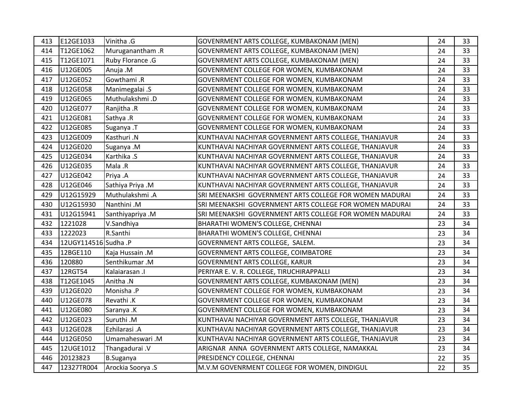| 413 | E12GE1033            | Vinitha .G        | GOVENRMENT ARTS COLLEGE, KUMBAKONAM (MEN)               | 24 | 33 |
|-----|----------------------|-------------------|---------------------------------------------------------|----|----|
| 414 | T12GE1062            | Muruganantham .R  | GOVENRMENT ARTS COLLEGE, KUMBAKONAM (MEN)               | 24 | 33 |
| 415 | T12GE1071            | Ruby Florance .G  | GOVENRMENT ARTS COLLEGE, KUMBAKONAM (MEN)               | 24 | 33 |
| 416 | U12GE005             | Anuja .M          | GOVENRMENT COLLEGE FOR WOMEN, KUMBAKONAM                | 24 | 33 |
| 417 | U12GE052             | Gowthami.R        | GOVENRMENT COLLEGE FOR WOMEN, KUMBAKONAM                | 24 | 33 |
| 418 | U12GE058             | Manimegalai .S    | GOVENRMENT COLLEGE FOR WOMEN, KUMBAKONAM                | 24 | 33 |
| 419 | U12GE065             | Muthulakshmi.D    | GOVENRMENT COLLEGE FOR WOMEN, KUMBAKONAM                | 24 | 33 |
| 420 | U12GE077             | Ranjitha .R       | GOVENRMENT COLLEGE FOR WOMEN, KUMBAKONAM                | 24 | 33 |
| 421 | U12GE081             | Sathya .R         | GOVENRMENT COLLEGE FOR WOMEN, KUMBAKONAM                | 24 | 33 |
| 422 | U12GE085             | Suganya .T        | GOVENRMENT COLLEGE FOR WOMEN, KUMBAKONAM                | 24 | 33 |
| 423 | U12GE009             | Kasthuri .N       | KUNTHAVAI NACHIYAR GOVERNMENT ARTS COLLEGE, THANJAVUR   | 24 | 33 |
| 424 | U12GE020             | Suganya .M        | KUNTHAVAI NACHIYAR GOVERNMENT ARTS COLLEGE, THANJAVUR   | 24 | 33 |
| 425 | U12GE034             | Karthika .S       | KUNTHAVAI NACHIYAR GOVERNMENT ARTS COLLEGE, THANJAVUR   | 24 | 33 |
| 426 | U12GE035             | Mala .R           | KUNTHAVAI NACHIYAR GOVERNMENT ARTS COLLEGE, THANJAVUR   | 24 | 33 |
| 427 | U12GE042             | Priya .A          | KUNTHAVAI NACHIYAR GOVERNMENT ARTS COLLEGE, THANJAVUR   | 24 | 33 |
| 428 | U12GE046             | Sathiya Priya .M  | KUNTHAVAI NACHIYAR GOVERNMENT ARTS COLLEGE, THANJAVUR   | 24 | 33 |
| 429 | U12G15929            | Muthulakshmi.A    | SRI MEENAKSHI GOVERNMENT ARTS COLLEGE FOR WOMEN MADURAI | 24 | 33 |
| 430 | U12G15930            | Nanthini .M       | SRI MEENAKSHI GOVERNMENT ARTS COLLEGE FOR WOMEN MADURAI | 24 | 33 |
| 431 | U12G15941            | Santhiyapriya .M  | SRI MEENAKSHI GOVERNMENT ARTS COLLEGE FOR WOMEN MADURAI | 24 | 33 |
| 432 | 1221028              | V.Sandhiya        | BHARATHI WOMEN'S COLLEGE, CHENNAI                       | 23 | 34 |
| 433 | 1222023              | R.Santhi          | BHARATHI WOMEN'S COLLEGE, CHENNAI                       | 23 | 34 |
| 434 | 12UGY114516 Sudha .P |                   | GOVERNMENT ARTS COLLEGE, SALEM.                         | 23 | 34 |
| 435 | 12BGE110             | Kaja Hussain .M   | GOVERNMENT ARTS COLLEGE, COIMBATORE                     | 23 | 34 |
| 436 | 120880               | Senthikumar.M     | <b>GOVERNMENT ARTS COLLEGE, KARUR</b>                   | 23 | 34 |
| 437 | 12RGT54              | Kalaiarasan .I    | PERIYAR E. V. R. COLLEGE, TIRUCHIRAPPALLI               | 23 | 34 |
| 438 | T12GE1045            | Anitha .N         | GOVENRMENT ARTS COLLEGE, KUMBAKONAM (MEN)               | 23 | 34 |
| 439 | U12GE020             | Monisha .P        | GOVENRMENT COLLEGE FOR WOMEN, KUMBAKONAM                | 23 | 34 |
| 440 | U12GE078             | Revathi .K        | GOVENRMENT COLLEGE FOR WOMEN, KUMBAKONAM                | 23 | 34 |
| 441 | U12GE080             | Saranya .K        | GOVENRMENT COLLEGE FOR WOMEN, KUMBAKONAM                | 23 | 34 |
| 442 | U12GE023             | Suruthi .M        | KUNTHAVAI NACHIYAR GOVERNMENT ARTS COLLEGE, THANJAVUR   | 23 | 34 |
| 443 | U12GE028             | Ezhilarasi .A     | KUNTHAVAI NACHIYAR GOVERNMENT ARTS COLLEGE, THANJAVUR   | 23 | 34 |
| 444 | U12GE050             | Umamaheswari .M   | KUNTHAVAI NACHIYAR GOVERNMENT ARTS COLLEGE, THANJAVUR   | 23 | 34 |
| 445 | 12UGE1012            | Thangadurai. V    | ARIGNAR ANNA GOVERNMENT ARTS COLLEGE, NAMAKKAL          | 23 | 34 |
| 446 | 20123823             | <b>B.Suganya</b>  | PRESIDENCY COLLEGE, CHENNAI                             | 22 | 35 |
| 447 | 12327TR004           | Arockia Soorya .S | M.V.M GOVENRMENT COLLEGE FOR WOMEN, DINDIGUL            | 22 | 35 |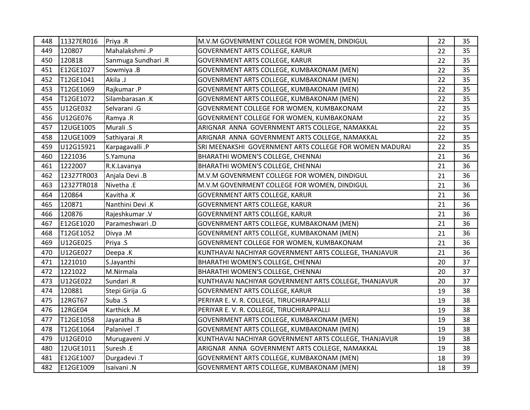| 448 | 11327ER016 | Priya .R            | M.V.M GOVENRMENT COLLEGE FOR WOMEN, DINDIGUL            | 22 | 35              |
|-----|------------|---------------------|---------------------------------------------------------|----|-----------------|
| 449 | 120807     | Mahalakshmi .P      | GOVERNMENT ARTS COLLEGE, KARUR                          | 22 | 35 <sub>2</sub> |
| 450 | 120818     | Sanmuga Sundhari .R | GOVERNMENT ARTS COLLEGE, KARUR                          | 22 | 35              |
| 451 | E12GE1027  | Sowmiya .B          | GOVENRMENT ARTS COLLEGE, KUMBAKONAM (MEN)               | 22 | 35              |
| 452 | T12GE1041  | Akila .J            | GOVENRMENT ARTS COLLEGE, KUMBAKONAM (MEN)               | 22 | 35              |
| 453 | T12GE1069  | Rajkumar.P          | GOVENRMENT ARTS COLLEGE, KUMBAKONAM (MEN)               | 22 | 35              |
| 454 | T12GE1072  | Silambarasan .K     | GOVENRMENT ARTS COLLEGE, KUMBAKONAM (MEN)               | 22 | 35              |
| 455 | U12GE032   | Selvarani .G        | GOVENRMENT COLLEGE FOR WOMEN, KUMBAKONAM                | 22 | 35              |
| 456 | U12GE076   | Ramya .R            | GOVENRMENT COLLEGE FOR WOMEN, KUMBAKONAM                | 22 | 35              |
| 457 | 12UGE1005  | Murali .S           | ARIGNAR ANNA GOVERNMENT ARTS COLLEGE, NAMAKKAL          | 22 | 35              |
| 458 | 12UGE1009  | Sathiyarai .R       | ARIGNAR ANNA GOVERNMENT ARTS COLLEGE, NAMAKKAL          | 22 | 35              |
| 459 | U12G15921  | Karpagavalli .P     | SRI MEENAKSHI GOVERNMENT ARTS COLLEGE FOR WOMEN MADURAI | 22 | 35              |
| 460 | 1221036    | S.Yamuna            | BHARATHI WOMEN'S COLLEGE, CHENNAI                       | 21 | 36              |
| 461 | 1222007    | R.K.Lavanya         | BHARATHI WOMEN'S COLLEGE, CHENNAI                       | 21 | 36              |
| 462 | 12327TR003 | Anjala Devi .B      | M.V.M GOVENRMENT COLLEGE FOR WOMEN, DINDIGUL            | 21 | 36              |
| 463 | 12327TR018 | Nivetha .E          | M.V.M GOVENRMENT COLLEGE FOR WOMEN, DINDIGUL            | 21 | 36              |
| 464 | 120864     | Kavitha .K          | GOVERNMENT ARTS COLLEGE, KARUR                          | 21 | 36              |
| 465 | 120871     | Nanthini Devi .K    | <b>GOVERNMENT ARTS COLLEGE, KARUR</b>                   | 21 | 36              |
| 466 | 120876     | Rajeshkumar.V       | GOVERNMENT ARTS COLLEGE, KARUR                          | 21 | 36              |
| 467 | E12GE1020  | Parameshwari.D      | GOVENRMENT ARTS COLLEGE, KUMBAKONAM (MEN)               | 21 | 36              |
| 468 | T12GE1052  | Divya .M            | GOVENRMENT ARTS COLLEGE, KUMBAKONAM (MEN)               | 21 | 36              |
| 469 | U12GE025   | Priya .S            | GOVENRMENT COLLEGE FOR WOMEN, KUMBAKONAM                | 21 | 36              |
| 470 | U12GE027   | Deepa .K            | KUNTHAVAI NACHIYAR GOVERNMENT ARTS COLLEGE, THANJAVUR   | 21 | 36              |
| 471 | 1221010    | S.Jayanthi          | BHARATHI WOMEN'S COLLEGE, CHENNAI                       | 20 | 37              |
| 472 | 1221022    | M.Nirmala           | BHARATHI WOMEN'S COLLEGE, CHENNAI                       | 20 | 37              |
| 473 | U12GE022   | Sundari .R          | KUNTHAVAI NACHIYAR GOVERNMENT ARTS COLLEGE, THANJAVUR   | 20 | 37              |
| 474 | 120881     | Stepi Girija .G     | <b>GOVERNMENT ARTS COLLEGE, KARUR</b>                   | 19 | 38              |
| 475 | 12RGT67    | Suba .S             | PERIYAR E. V. R. COLLEGE, TIRUCHIRAPPALLI               | 19 | 38              |
| 476 | 12RGE04    | Karthick .M         | PERIYAR E. V. R. COLLEGE, TIRUCHIRAPPALLI               | 19 | 38              |
| 477 | T12GE1058  | Jayaratha .B        | GOVENRMENT ARTS COLLEGE, KUMBAKONAM (MEN)               | 19 | 38              |
| 478 | T12GE1064  | Palanivel .T        | GOVENRMENT ARTS COLLEGE, KUMBAKONAM (MEN)               | 19 | 38              |
| 479 | U12GE010   | Murugaveni .V       | KUNTHAVAI NACHIYAR GOVERNMENT ARTS COLLEGE, THANJAVUR   | 19 | 38              |
| 480 | 12UGE1011  | Suresh .E           | ARIGNAR ANNA GOVERNMENT ARTS COLLEGE, NAMAKKAL          | 19 | 38              |
| 481 | E12GE1007  | Durgadevi .T        | GOVENRMENT ARTS COLLEGE, KUMBAKONAM (MEN)               | 18 | 39              |
| 482 | E12GE1009  | Isaivani.N          | GOVENRMENT ARTS COLLEGE, KUMBAKONAM (MEN)               | 18 | 39              |